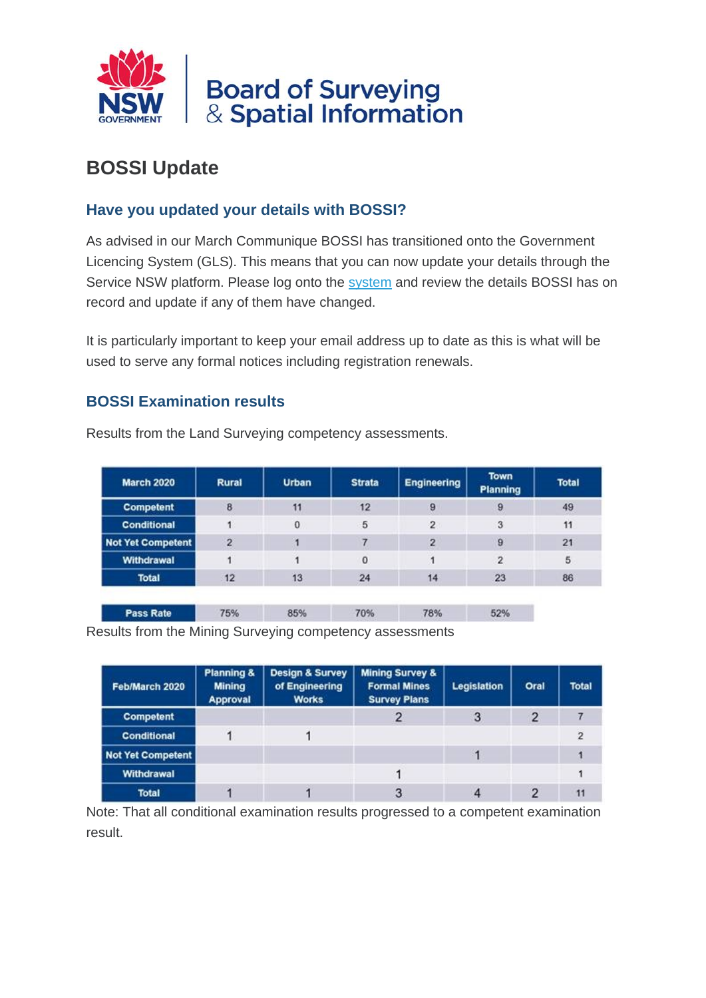

# **BOSSI Update**

### **Have you updated your details with BOSSI?**

As advised in our March Communique BOSSI has transitioned onto the Government Licencing System (GLS). This means that you can now update your details through the Service NSW platform. Please log onto the [system](https://boardofsurveyingandspatialinformation.cmail19.com/t/t-l-nudjre-zkuulcir-r/) and review the details BOSSI has on record and update if any of them have changed.

It is particularly important to keep your email address up to date as this is what will be used to serve any formal notices including registration renewals.

#### **BOSSI Examination results**

Pass Rate

| <b>March 2020</b>        | Rural          | <b>Urban</b> | <b>Strata</b> | <b>Engineering</b> | <b>Town</b><br>Planning | <b>Total</b> |
|--------------------------|----------------|--------------|---------------|--------------------|-------------------------|--------------|
| <b>Competent</b>         | 8              | 11           | 12            | 9                  | 9                       | 49           |
| <b>Conditional</b>       |                | 0            | 5             | $\overline{2}$     | 3                       | 11           |
| <b>Not Yet Competent</b> | $\overline{2}$ |              |               | 2                  | $\overline{9}$          | 21           |
| Withdrawal               |                |              | $\bf{0}$      |                    | $\overline{2}$          | 5            |
| <b>Total</b>             | 12             | 13           | 24            | 14                 | 23                      | 86           |

70%

78%

52%

Results from the Land Surveying competency assessments.

Results from the Mining Surveying competency assessments

85%

75%

| Feb/March 2020     | <b>Planning &amp;</b><br><b>Mining</b><br>Approval | <b>Design &amp; Survey</b><br>of Engineering<br><b>Works</b> | <b>Mining Survey &amp;</b><br><b>Formal Mines</b><br><b>Survey Plans</b> | Legislation | Oral           | <b>Total</b> |
|--------------------|----------------------------------------------------|--------------------------------------------------------------|--------------------------------------------------------------------------|-------------|----------------|--------------|
| <b>Competent</b>   |                                                    |                                                              |                                                                          | 3           | $\overline{2}$ |              |
| <b>Conditional</b> |                                                    |                                                              |                                                                          |             |                |              |
| Not Yet Competent  |                                                    |                                                              |                                                                          |             |                |              |
| Withdrawal         |                                                    |                                                              |                                                                          |             |                |              |
| <b>Total</b>       |                                                    |                                                              | 3                                                                        |             |                | 11           |

Note: That all conditional examination results progressed to a competent examination result.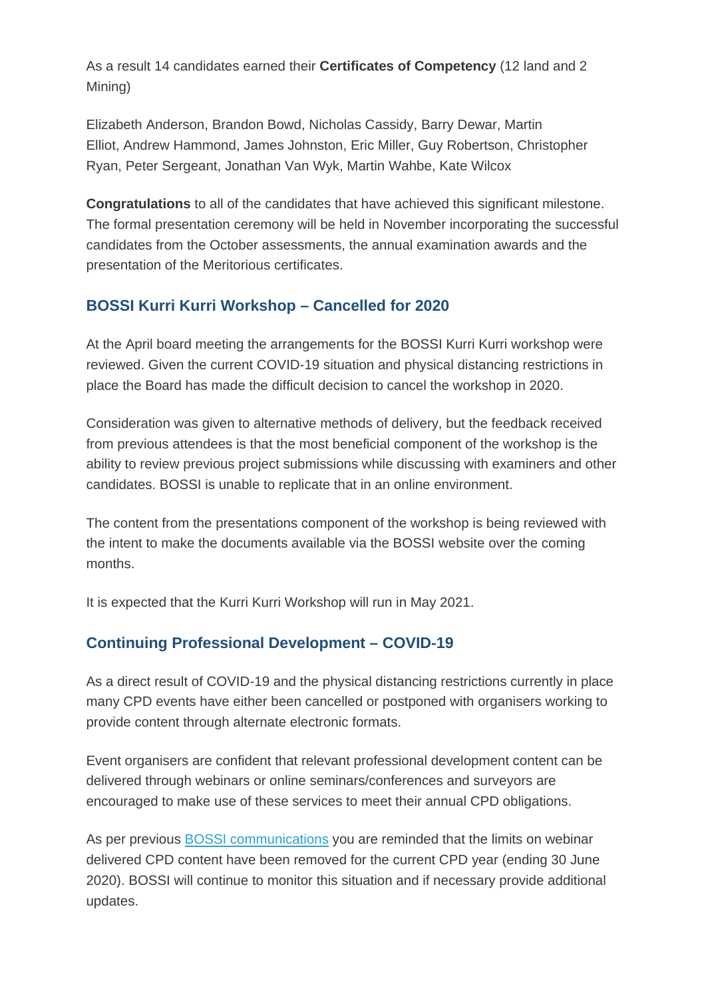As a result 14 candidates earned their **Certificates of Competency** (12 land and 2 Mining)

Elizabeth Anderson, Brandon Bowd, Nicholas Cassidy, Barry Dewar, Martin Elliot, Andrew Hammond, James Johnston, Eric Miller, Guy Robertson, Christopher Ryan, Peter Sergeant, Jonathan Van Wyk, Martin Wahbe, Kate Wilcox

**Congratulations** to all of the candidates that have achieved this significant milestone. The formal presentation ceremony will be held in November incorporating the successful candidates from the October assessments, the annual examination awards and the presentation of the Meritorious certificates.

## **BOSSI Kurri Kurri Workshop – Cancelled for 2020**

At the April board meeting the arrangements for the BOSSI Kurri Kurri workshop were reviewed. Given the current COVID-19 situation and physical distancing restrictions in place the Board has made the difficult decision to cancel the workshop in 2020.

Consideration was given to alternative methods of delivery, but the feedback received from previous attendees is that the most beneficial component of the workshop is the ability to review previous project submissions while discussing with examiners and other candidates. BOSSI is unable to replicate that in an online environment.

The content from the presentations component of the workshop is being reviewed with the intent to make the documents available via the BOSSI website over the coming months.

It is expected that the Kurri Kurri Workshop will run in May 2021.

## **Continuing Professional Development – COVID-19**

As a direct result of COVID-19 and the physical distancing restrictions currently in place many CPD events have either been cancelled or postponed with organisers working to provide content through alternate electronic formats.

Event organisers are confident that relevant professional development content can be delivered through webinars or online seminars/conferences and surveyors are encouraged to make use of these services to meet their annual CPD obligations.

As per previous [BOSSI communications](https://boardofsurveyingandspatialinformation.cmail19.com/t/t-l-nudjre-zkuulcir-y/) you are reminded that the limits on webinar delivered CPD content have been removed for the current CPD year (ending 30 June 2020). BOSSI will continue to monitor this situation and if necessary provide additional updates.